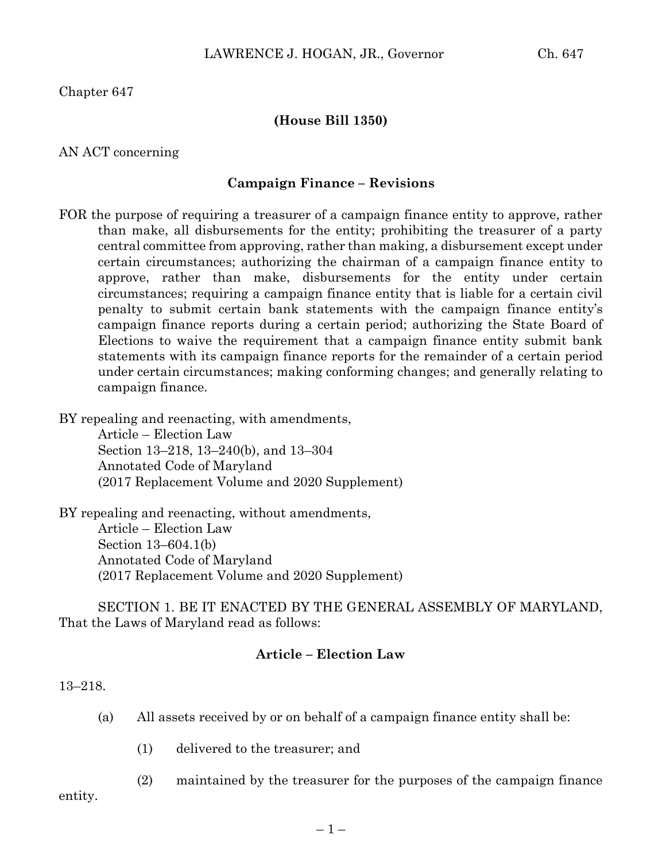Chapter 647

# **(House Bill 1350)**

AN ACT concerning

### **Campaign Finance – Revisions**

FOR the purpose of requiring a treasurer of a campaign finance entity to approve, rather than make, all disbursements for the entity; prohibiting the treasurer of a party central committee from approving, rather than making, a disbursement except under certain circumstances; authorizing the chairman of a campaign finance entity to approve, rather than make, disbursements for the entity under certain circumstances; requiring a campaign finance entity that is liable for a certain civil penalty to submit certain bank statements with the campaign finance entity's campaign finance reports during a certain period; authorizing the State Board of Elections to waive the requirement that a campaign finance entity submit bank statements with its campaign finance reports for the remainder of a certain period under certain circumstances; making conforming changes; and generally relating to campaign finance.

BY repealing and reenacting, with amendments,

Article – Election Law Section 13–218, 13–240(b), and 13–304 Annotated Code of Maryland (2017 Replacement Volume and 2020 Supplement)

BY repealing and reenacting, without amendments, Article – Election Law Section 13–604.1(b) Annotated Code of Maryland (2017 Replacement Volume and 2020 Supplement)

SECTION 1. BE IT ENACTED BY THE GENERAL ASSEMBLY OF MARYLAND, That the Laws of Maryland read as follows:

# **Article – Election Law**

13–218.

- (a) All assets received by or on behalf of a campaign finance entity shall be:
	- (1) delivered to the treasurer; and
	- (2) maintained by the treasurer for the purposes of the campaign finance

entity.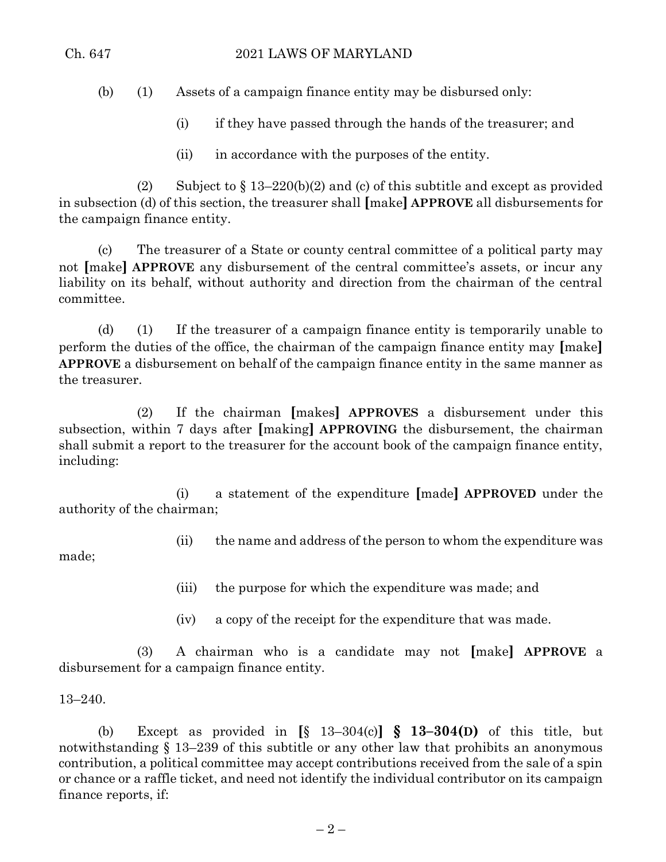(b) (1) Assets of a campaign finance entity may be disbursed only:

- (i) if they have passed through the hands of the treasurer; and
- (ii) in accordance with the purposes of the entity.

(2) Subject to  $\S 13-220(b)(2)$  and (c) of this subtitle and except as provided in subsection (d) of this section, the treasurer shall **[**make**] APPROVE** all disbursements for the campaign finance entity.

(c) The treasurer of a State or county central committee of a political party may not **[**make**] APPROVE** any disbursement of the central committee's assets, or incur any liability on its behalf, without authority and direction from the chairman of the central committee.

(d) (1) If the treasurer of a campaign finance entity is temporarily unable to perform the duties of the office, the chairman of the campaign finance entity may **[**make**] APPROVE** a disbursement on behalf of the campaign finance entity in the same manner as the treasurer.

(2) If the chairman **[**makes**] APPROVES** a disbursement under this subsection, within 7 days after **[**making**] APPROVING** the disbursement, the chairman shall submit a report to the treasurer for the account book of the campaign finance entity, including:

(i) a statement of the expenditure **[**made**] APPROVED** under the authority of the chairman;

(ii) the name and address of the person to whom the expenditure was

made;

(iii) the purpose for which the expenditure was made; and

(iv) a copy of the receipt for the expenditure that was made.

(3) A chairman who is a candidate may not **[**make**] APPROVE** a disbursement for a campaign finance entity.

## 13–240.

(b) Except as provided in **[**§ 13–304(c)**] § 13–304(D)** of this title, but notwithstanding § 13–239 of this subtitle or any other law that prohibits an anonymous contribution, a political committee may accept contributions received from the sale of a spin or chance or a raffle ticket, and need not identify the individual contributor on its campaign finance reports, if: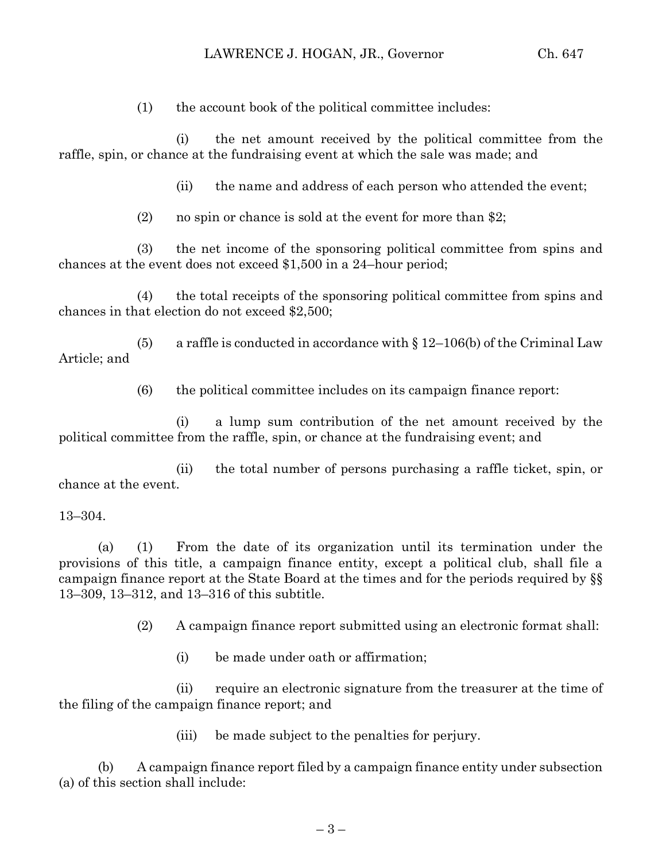(1) the account book of the political committee includes:

(i) the net amount received by the political committee from the raffle, spin, or chance at the fundraising event at which the sale was made; and

(ii) the name and address of each person who attended the event;

(2) no spin or chance is sold at the event for more than \$2;

(3) the net income of the sponsoring political committee from spins and chances at the event does not exceed \$1,500 in a 24–hour period;

(4) the total receipts of the sponsoring political committee from spins and chances in that election do not exceed \$2,500;

(5) a raffle is conducted in accordance with  $\S 12-106(b)$  of the Criminal Law Article; and

(6) the political committee includes on its campaign finance report:

(i) a lump sum contribution of the net amount received by the political committee from the raffle, spin, or chance at the fundraising event; and

(ii) the total number of persons purchasing a raffle ticket, spin, or chance at the event.

### 13–304.

(a) (1) From the date of its organization until its termination under the provisions of this title, a campaign finance entity, except a political club, shall file a campaign finance report at the State Board at the times and for the periods required by §§ 13–309, 13–312, and 13–316 of this subtitle.

(2) A campaign finance report submitted using an electronic format shall:

(i) be made under oath or affirmation;

(ii) require an electronic signature from the treasurer at the time of the filing of the campaign finance report; and

(iii) be made subject to the penalties for perjury.

(b) A campaign finance report filed by a campaign finance entity under subsection (a) of this section shall include: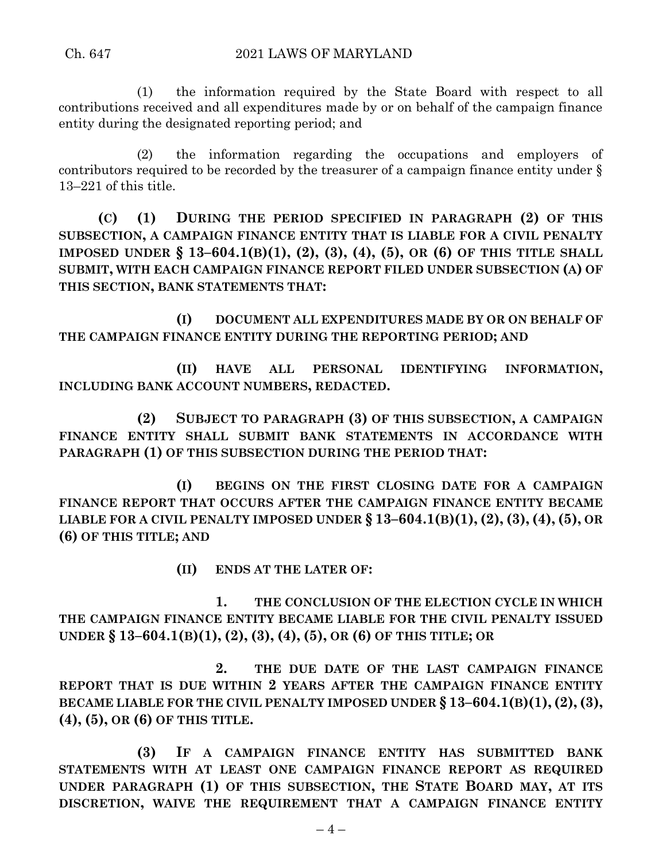(1) the information required by the State Board with respect to all contributions received and all expenditures made by or on behalf of the campaign finance entity during the designated reporting period; and

(2) the information regarding the occupations and employers of contributors required to be recorded by the treasurer of a campaign finance entity under § 13–221 of this title.

**(C) (1) DURING THE PERIOD SPECIFIED IN PARAGRAPH (2) OF THIS SUBSECTION, A CAMPAIGN FINANCE ENTITY THAT IS LIABLE FOR A CIVIL PENALTY IMPOSED UNDER § 13–604.1(B)(1), (2), (3), (4), (5), OR (6) OF THIS TITLE SHALL SUBMIT, WITH EACH CAMPAIGN FINANCE REPORT FILED UNDER SUBSECTION (A) OF THIS SECTION, BANK STATEMENTS THAT:**

**(I) DOCUMENT ALL EXPENDITURES MADE BY OR ON BEHALF OF THE CAMPAIGN FINANCE ENTITY DURING THE REPORTING PERIOD; AND**

**(II) HAVE ALL PERSONAL IDENTIFYING INFORMATION, INCLUDING BANK ACCOUNT NUMBERS, REDACTED.**

**(2) SUBJECT TO PARAGRAPH (3) OF THIS SUBSECTION, A CAMPAIGN FINANCE ENTITY SHALL SUBMIT BANK STATEMENTS IN ACCORDANCE WITH PARAGRAPH (1) OF THIS SUBSECTION DURING THE PERIOD THAT:**

**(I) BEGINS ON THE FIRST CLOSING DATE FOR A CAMPAIGN FINANCE REPORT THAT OCCURS AFTER THE CAMPAIGN FINANCE ENTITY BECAME LIABLE FOR A CIVIL PENALTY IMPOSED UNDER § 13–604.1(B)(1), (2), (3), (4), (5), OR (6) OF THIS TITLE; AND**

**(II) ENDS AT THE LATER OF:**

**1. THE CONCLUSION OF THE ELECTION CYCLE IN WHICH THE CAMPAIGN FINANCE ENTITY BECAME LIABLE FOR THE CIVIL PENALTY ISSUED UNDER § 13–604.1(B)(1), (2), (3), (4), (5), OR (6) OF THIS TITLE; OR**

**2. THE DUE DATE OF THE LAST CAMPAIGN FINANCE REPORT THAT IS DUE WITHIN 2 YEARS AFTER THE CAMPAIGN FINANCE ENTITY BECAME LIABLE FOR THE CIVIL PENALTY IMPOSED UNDER § 13–604.1(B)(1),(2),(3), (4), (5), OR (6) OF THIS TITLE.**

**(3) IF A CAMPAIGN FINANCE ENTITY HAS SUBMITTED BANK STATEMENTS WITH AT LEAST ONE CAMPAIGN FINANCE REPORT AS REQUIRED UNDER PARAGRAPH (1) OF THIS SUBSECTION, THE STATE BOARD MAY, AT ITS DISCRETION, WAIVE THE REQUIREMENT THAT A CAMPAIGN FINANCE ENTITY**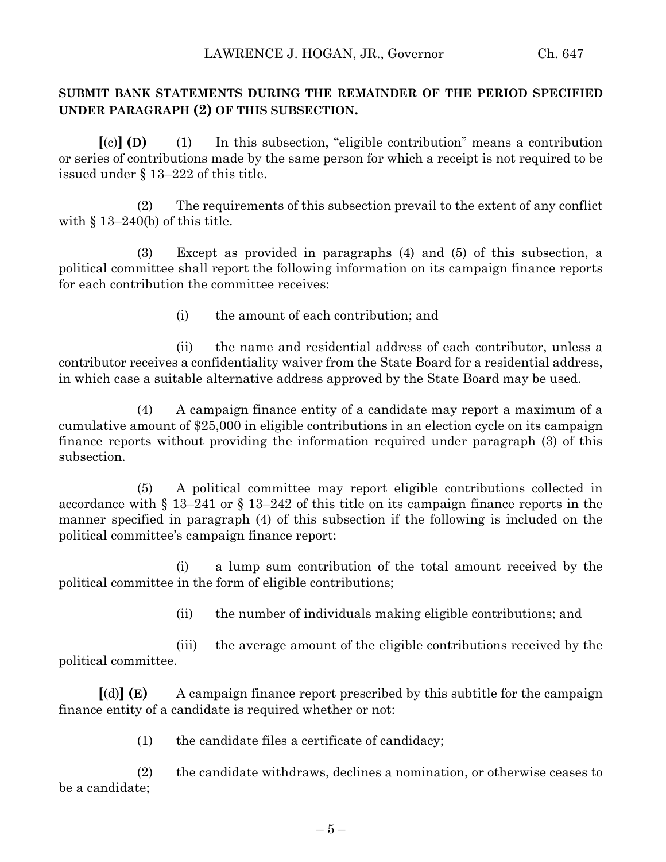# **SUBMIT BANK STATEMENTS DURING THE REMAINDER OF THE PERIOD SPECIFIED UNDER PARAGRAPH (2) OF THIS SUBSECTION.**

**[**(c)**] (D)** (1) In this subsection, "eligible contribution" means a contribution or series of contributions made by the same person for which a receipt is not required to be issued under § 13–222 of this title.

(2) The requirements of this subsection prevail to the extent of any conflict with  $\S$  13–240(b) of this title.

(3) Except as provided in paragraphs (4) and (5) of this subsection, a political committee shall report the following information on its campaign finance reports for each contribution the committee receives:

(i) the amount of each contribution; and

(ii) the name and residential address of each contributor, unless a contributor receives a confidentiality waiver from the State Board for a residential address, in which case a suitable alternative address approved by the State Board may be used.

(4) A campaign finance entity of a candidate may report a maximum of a cumulative amount of \$25,000 in eligible contributions in an election cycle on its campaign finance reports without providing the information required under paragraph (3) of this subsection.

(5) A political committee may report eligible contributions collected in accordance with § 13–241 or § 13–242 of this title on its campaign finance reports in the manner specified in paragraph (4) of this subsection if the following is included on the political committee's campaign finance report:

(i) a lump sum contribution of the total amount received by the political committee in the form of eligible contributions;

(ii) the number of individuals making eligible contributions; and

(iii) the average amount of the eligible contributions received by the political committee.

**[**(d)**] (E)** A campaign finance report prescribed by this subtitle for the campaign finance entity of a candidate is required whether or not:

(1) the candidate files a certificate of candidacy;

(2) the candidate withdraws, declines a nomination, or otherwise ceases to be a candidate;